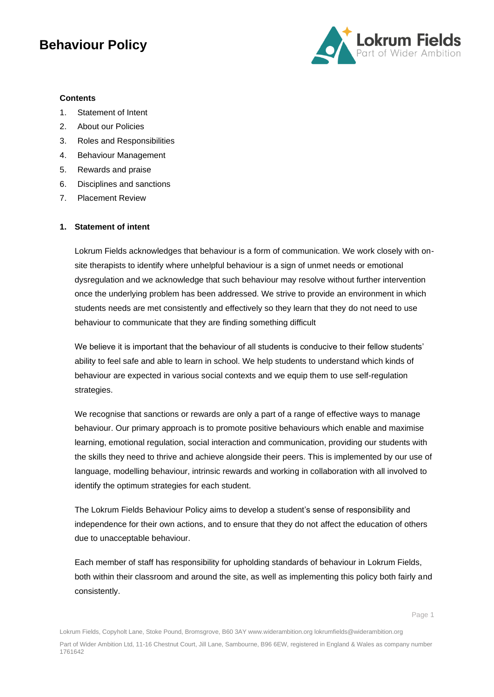

#### **Contents**

- 1. Statement of Intent
- 2. About our Policies
- 3. Roles and Responsibilities
- 4. [Behaviour](#page-3-0) Management
- 5. Rewards and praise
- 6. Disciplines and sanctions
- 7. Placement Review

#### **1. Statement of intent**

Lokrum Fields acknowledges that behaviour is a form of communication. We work closely with onsite therapists to identify where unhelpful behaviour is a sign of unmet needs or emotional dysregulation and we acknowledge that such behaviour may resolve without further intervention once the underlying problem has been addressed. We strive to provide an environment in which students needs are met consistently and effectively so they learn that they do not need to use behaviour to communicate that they are finding something difficult

We believe it is important that the behaviour of all students is conducive to their fellow students' ability to feel safe and able to learn in school. We help students to understand which kinds of behaviour are expected in various social contexts and we equip them to use self-regulation strategies.

We recognise that sanctions or rewards are only a part of a range of effective ways to manage behaviour. Our primary approach is to promote positive behaviours which enable and maximise learning, emotional regulation, social interaction and communication, providing our students with the skills they need to thrive and achieve alongside their peers. This is implemented by our use of language, modelling behaviour, intrinsic rewards and working in collaboration with all involved to identify the optimum strategies for each student.

The Lokrum Fields Behaviour Policy aims to develop a student's sense of responsibility and independence for their own actions, and to ensure that they do not affect the education of others due to unacceptable behaviour.

Each member of staff has responsibility for upholding standards of behaviour in Lokrum Fields, both within their classroom and around the site, as well as implementing this policy both fairly and consistently.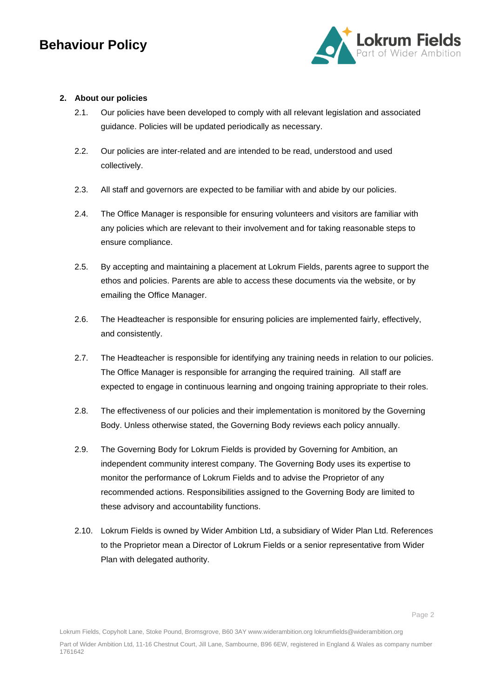

#### **2. About our policies**

- 2.1. Our policies have been developed to comply with all relevant legislation and associated guidance. Policies will be updated periodically as necessary.
- 2.2. Our policies are inter-related and are intended to be read, understood and used collectively.
- 2.3. All staff and governors are expected to be familiar with and abide by our policies.
- 2.4. The Office Manager is responsible for ensuring volunteers and visitors are familiar with any policies which are relevant to their involvement and for taking reasonable steps to ensure compliance.
- 2.5. By accepting and maintaining a placement at Lokrum Fields, parents agree to support the ethos and policies. Parents are able to access these documents via the website, or by emailing the Office Manager.
- 2.6. The Headteacher is responsible for ensuring policies are implemented fairly, effectively, and consistently.
- 2.7. The Headteacher is responsible for identifying any training needs in relation to our policies. The Office Manager is responsible for arranging the required training. All staff are expected to engage in continuous learning and ongoing training appropriate to their roles.
- 2.8. The effectiveness of our policies and their implementation is monitored by the Governing Body. Unless otherwise stated, the Governing Body reviews each policy annually.
- 2.9. The Governing Body for Lokrum Fields is provided by Governing for Ambition, an independent community interest company. The Governing Body uses its expertise to monitor the performance of Lokrum Fields and to advise the Proprietor of any recommended actions. Responsibilities assigned to the Governing Body are limited to these advisory and accountability functions.
- 2.10. Lokrum Fields is owned by Wider Ambition Ltd, a subsidiary of Wider Plan Ltd. References to the Proprietor mean a Director of Lokrum Fields or a senior representative from Wider Plan with delegated authority.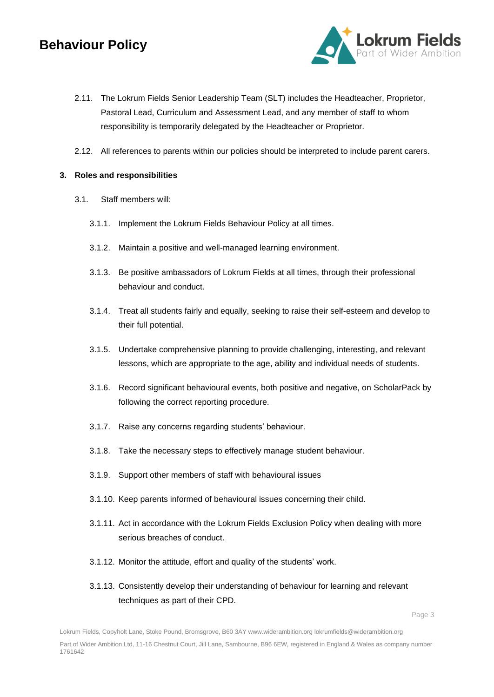

- 2.11. The Lokrum Fields Senior Leadership Team (SLT) includes the Headteacher, Proprietor, Pastoral Lead, Curriculum and Assessment Lead, and any member of staff to whom responsibility is temporarily delegated by the Headteacher or Proprietor.
- 2.12. All references to parents within our policies should be interpreted to include parent carers.

#### **3. Roles and responsibilities**

- 3.1. Staff members will:
	- 3.1.1. Implement the Lokrum Fields Behaviour Policy at all times.
	- 3.1.2. Maintain a positive and well-managed learning environment.
	- 3.1.3. Be positive ambassadors of Lokrum Fields at all times, through their professional behaviour and conduct.
	- 3.1.4. Treat all students fairly and equally, seeking to raise their self-esteem and develop to their full potential.
	- 3.1.5. Undertake comprehensive planning to provide challenging, interesting, and relevant lessons, which are appropriate to the age, ability and individual needs of students.
	- 3.1.6. Record significant behavioural events, both positive and negative, on ScholarPack by following the correct reporting procedure.
	- 3.1.7. Raise any concerns regarding students' behaviour.
	- 3.1.8. Take the necessary steps to effectively manage student behaviour.
	- 3.1.9. Support other members of staff with behavioural issues
	- 3.1.10. Keep parents informed of behavioural issues concerning their child.
	- 3.1.11. Act in accordance with the Lokrum Fields Exclusion Policy when dealing with more serious breaches of conduct.
	- 3.1.12. Monitor the attitude, effort and quality of the students' work.
	- 3.1.13. Consistently develop their understanding of behaviour for learning and relevant techniques as part of their CPD.

Lokrum Fields, Copyholt Lane, Stoke Pound, Bromsgrove, B60 3AY www.widerambition.org lokrumfields@widerambition.org Part of Wider Ambition Ltd, 11-16 Chestnut Court, Jill Lane, Sambourne, B96 6EW, registered in England & Wales as company number 1761642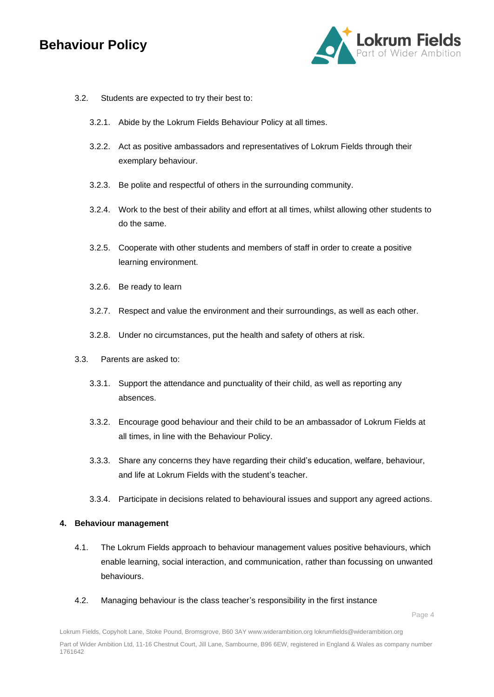

- 3.2. Students are expected to try their best to:
	- 3.2.1. Abide by the Lokrum Fields Behaviour Policy at all times.
	- 3.2.2. Act as positive ambassadors and representatives of Lokrum Fields through their exemplary behaviour.
	- 3.2.3. Be polite and respectful of others in the surrounding community.
	- 3.2.4. Work to the best of their ability and effort at all times, whilst allowing other students to do the same.
	- 3.2.5. Cooperate with other students and members of staff in order to create a positive learning environment.
	- 3.2.6. Be ready to learn
	- 3.2.7. Respect and value the environment and their surroundings, as well as each other.
	- 3.2.8. Under no circumstances, put the health and safety of others at risk.
- 3.3. Parents are asked to:
	- 3.3.1. Support the attendance and punctuality of their child, as well as reporting any absences.
	- 3.3.2. Encourage good behaviour and their child to be an ambassador of Lokrum Fields at all times, in line with the Behaviour Policy.
	- 3.3.3. Share any concerns they have regarding their child's education, welfare, behaviour, and life at Lokrum Fields with the student's teacher.
	- 3.3.4. Participate in decisions related to behavioural issues and support any agreed actions.

#### **4. Behaviour management**

- <span id="page-3-0"></span>4.1. The Lokrum Fields approach to behaviour management values positive behaviours, which enable learning, social interaction, and communication, rather than focussing on unwanted behaviours.
- 4.2. Managing behaviour is the class teacher's responsibility in the first instance

Lokrum Fields, Copyholt Lane, Stoke Pound, Bromsgrove, B60 3AY www.widerambition.org lokrumfields@widerambition.org Part of Wider Ambition Ltd, 11-16 Chestnut Court, Jill Lane, Sambourne, B96 6EW, registered in England & Wales as company number 1761642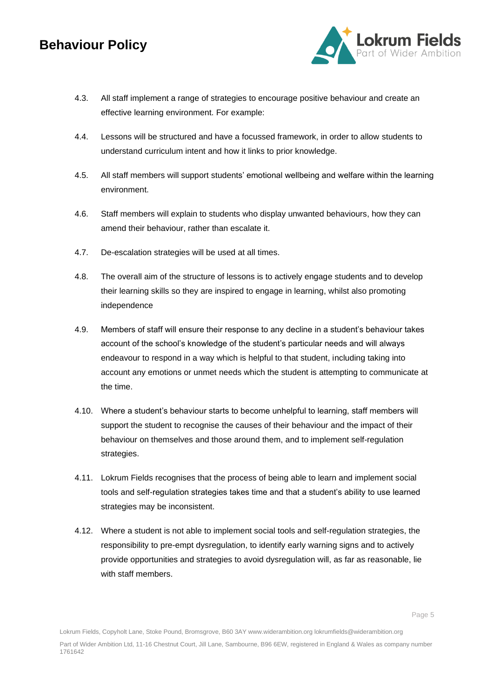

- 4.3. All staff implement a range of strategies to encourage positive behaviour and create an effective learning environment. For example:
- 4.4. Lessons will be structured and have a focussed framework, in order to allow students to understand curriculum intent and how it links to prior knowledge.
- 4.5. All staff members will support students' emotional wellbeing and welfare within the learning environment.
- 4.6. Staff members will explain to students who display unwanted behaviours, how they can amend their behaviour, rather than escalate it.
- 4.7. De-escalation strategies will be used at all times.
- 4.8. The overall aim of the structure of lessons is to actively engage students and to develop their learning skills so they are inspired to engage in learning, whilst also promoting independence
- 4.9. Members of staff will ensure their response to any decline in a student's behaviour takes account of the school's knowledge of the student's particular needs and will always endeavour to respond in a way which is helpful to that student, including taking into account any emotions or unmet needs which the student is attempting to communicate at the time.
- 4.10. Where a student's behaviour starts to become unhelpful to learning, staff members will support the student to recognise the causes of their behaviour and the impact of their behaviour on themselves and those around them, and to implement self-regulation strategies.
- 4.11. Lokrum Fields recognises that the process of being able to learn and implement social tools and self-regulation strategies takes time and that a student's ability to use learned strategies may be inconsistent.
- 4.12. Where a student is not able to implement social tools and self-regulation strategies, the responsibility to pre-empt dysregulation, to identify early warning signs and to actively provide opportunities and strategies to avoid dysregulation will, as far as reasonable, lie with staff members.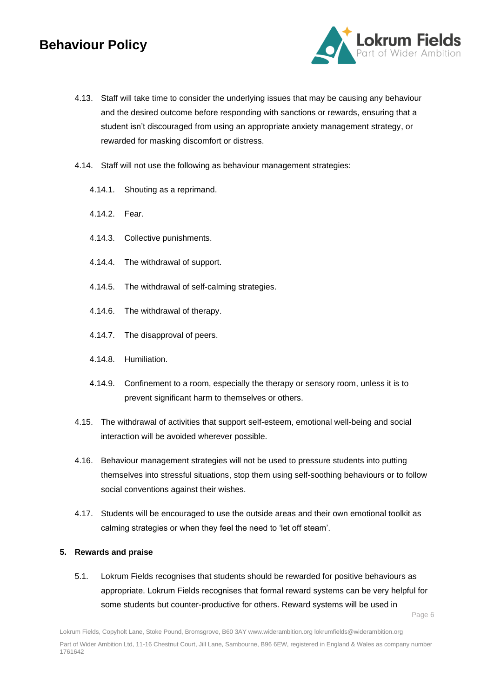

- 4.13. Staff will take time to consider the underlying issues that may be causing any behaviour and the desired outcome before responding with sanctions or rewards, ensuring that a student isn't discouraged from using an appropriate anxiety management strategy, or rewarded for masking discomfort or distress.
- 4.14. Staff will not use the following as behaviour management strategies:
	- 4.14.1. Shouting as a reprimand.
	- 4.14.2. Fear.
	- 4.14.3. Collective punishments.
	- 4.14.4. The withdrawal of support.
	- 4.14.5. The withdrawal of self-calming strategies.
	- 4.14.6. The withdrawal of therapy.
	- 4.14.7. The disapproval of peers.
	- 4.14.8. Humiliation.
	- 4.14.9. Confinement to a room, especially the therapy or sensory room, unless it is to prevent significant harm to themselves or others.
- 4.15. The withdrawal of activities that support self-esteem, emotional well-being and social interaction will be avoided wherever possible.
- 4.16. Behaviour management strategies will not be used to pressure students into putting themselves into stressful situations, stop them using self-soothing behaviours or to follow social conventions against their wishes.
- 4.17. Students will be encouraged to use the outside areas and their own emotional toolkit as calming strategies or when they feel the need to 'let off steam'.

#### **5. Rewards and praise**

5.1. Lokrum Fields recognises that students should be rewarded for positive behaviours as appropriate. Lokrum Fields recognises that formal reward systems can be very helpful for some students but counter-productive for others. Reward systems will be used in

Page 6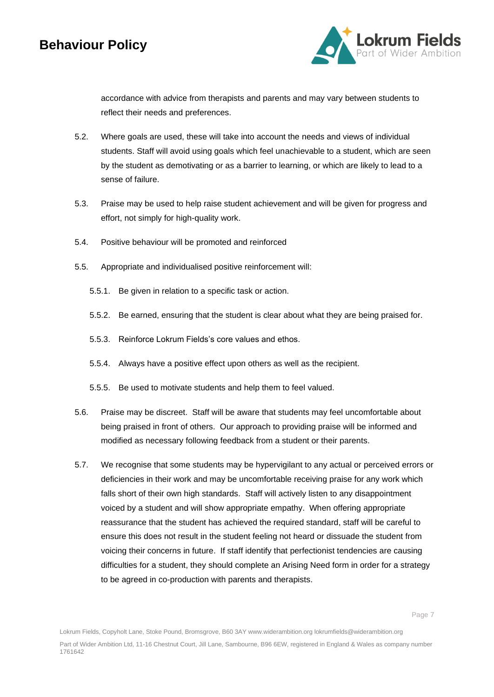

accordance with advice from therapists and parents and may vary between students to reflect their needs and preferences.

- 5.2. Where goals are used, these will take into account the needs and views of individual students. Staff will avoid using goals which feel unachievable to a student, which are seen by the student as demotivating or as a barrier to learning, or which are likely to lead to a sense of failure.
- 5.3. Praise may be used to help raise student achievement and will be given for progress and effort, not simply for high-quality work.
- 5.4. Positive behaviour will be promoted and reinforced
- 5.5. Appropriate and individualised positive reinforcement will:
	- 5.5.1. Be given in relation to a specific task or action.
	- 5.5.2. Be earned, ensuring that the student is clear about what they are being praised for.
	- 5.5.3. Reinforce Lokrum Fields's core values and ethos.
	- 5.5.4. Always have a positive effect upon others as well as the recipient.
	- 5.5.5. Be used to motivate students and help them to feel valued.
- 5.6. Praise may be discreet. Staff will be aware that students may feel uncomfortable about being praised in front of others. Our approach to providing praise will be informed and modified as necessary following feedback from a student or their parents.
- 5.7. We recognise that some students may be hypervigilant to any actual or perceived errors or deficiencies in their work and may be uncomfortable receiving praise for any work which falls short of their own high standards. Staff will actively listen to any disappointment voiced by a student and will show appropriate empathy. When offering appropriate reassurance that the student has achieved the required standard, staff will be careful to ensure this does not result in the student feeling not heard or dissuade the student from voicing their concerns in future. If staff identify that perfectionist tendencies are causing difficulties for a student, they should complete an Arising Need form in order for a strategy to be agreed in co-production with parents and therapists.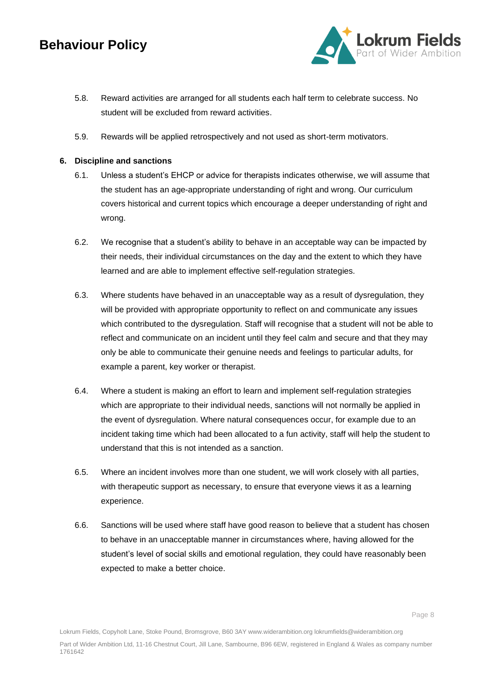

- 5.8. Reward activities are arranged for all students each half term to celebrate success. No student will be excluded from reward activities.
- 5.9. Rewards will be applied retrospectively and not used as short-term motivators.

#### **6. Discipline and sanctions**

- 6.1. Unless a student's EHCP or advice for therapists indicates otherwise, we will assume that the student has an age-appropriate understanding of right and wrong. Our curriculum covers historical and current topics which encourage a deeper understanding of right and wrong.
- 6.2. We recognise that a student's ability to behave in an acceptable way can be impacted by their needs, their individual circumstances on the day and the extent to which they have learned and are able to implement effective self-regulation strategies.
- 6.3. Where students have behaved in an unacceptable way as a result of dysregulation, they will be provided with appropriate opportunity to reflect on and communicate any issues which contributed to the dysregulation. Staff will recognise that a student will not be able to reflect and communicate on an incident until they feel calm and secure and that they may only be able to communicate their genuine needs and feelings to particular adults, for example a parent, key worker or therapist.
- 6.4. Where a student is making an effort to learn and implement self-regulation strategies which are appropriate to their individual needs, sanctions will not normally be applied in the event of dysregulation. Where natural consequences occur, for example due to an incident taking time which had been allocated to a fun activity, staff will help the student to understand that this is not intended as a sanction.
- 6.5. Where an incident involves more than one student, we will work closely with all parties, with therapeutic support as necessary, to ensure that everyone views it as a learning experience.
- 6.6. Sanctions will be used where staff have good reason to believe that a student has chosen to behave in an unacceptable manner in circumstances where, having allowed for the student's level of social skills and emotional regulation, they could have reasonably been expected to make a better choice.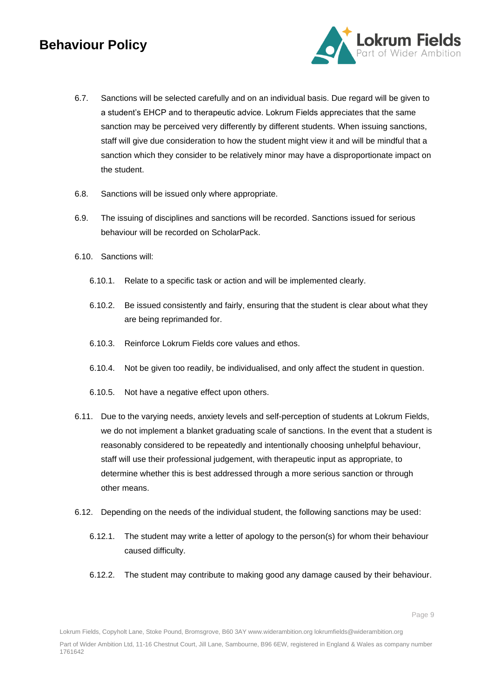

- 6.7. Sanctions will be selected carefully and on an individual basis. Due regard will be given to a student's EHCP and to therapeutic advice. Lokrum Fields appreciates that the same sanction may be perceived very differently by different students. When issuing sanctions, staff will give due consideration to how the student might view it and will be mindful that a sanction which they consider to be relatively minor may have a disproportionate impact on the student.
- 6.8. Sanctions will be issued only where appropriate.
- 6.9. The issuing of disciplines and sanctions will be recorded. Sanctions issued for serious behaviour will be recorded on ScholarPack.
- 6.10. Sanctions will:
	- 6.10.1. Relate to a specific task or action and will be implemented clearly.
	- 6.10.2. Be issued consistently and fairly, ensuring that the student is clear about what they are being reprimanded for.
	- 6.10.3. Reinforce Lokrum Fields core values and ethos.
	- 6.10.4. Not be given too readily, be individualised, and only affect the student in question.
	- 6.10.5. Not have a negative effect upon others.
- 6.11. Due to the varying needs, anxiety levels and self-perception of students at Lokrum Fields, we do not implement a blanket graduating scale of sanctions. In the event that a student is reasonably considered to be repeatedly and intentionally choosing unhelpful behaviour, staff will use their professional judgement, with therapeutic input as appropriate, to determine whether this is best addressed through a more serious sanction or through other means.
- 6.12. Depending on the needs of the individual student, the following sanctions may be used:
	- 6.12.1. The student may write a letter of apology to the person(s) for whom their behaviour caused difficulty.
	- 6.12.2. The student may contribute to making good any damage caused by their behaviour.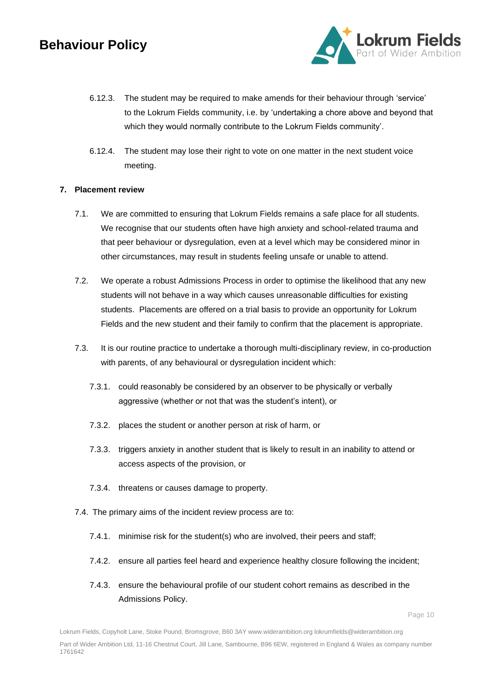

- 6.12.3. The student may be required to make amends for their behaviour through 'service' to the Lokrum Fields community, i.e. by 'undertaking a chore above and beyond that which they would normally contribute to the Lokrum Fields community'.
- 6.12.4. The student may lose their right to vote on one matter in the next student voice meeting.

#### **7. Placement review**

- 7.1. We are committed to ensuring that Lokrum Fields remains a safe place for all students. We recognise that our students often have high anxiety and school-related trauma and that peer behaviour or dysregulation, even at a level which may be considered minor in other circumstances, may result in students feeling unsafe or unable to attend.
- 7.2. We operate a robust Admissions Process in order to optimise the likelihood that any new students will not behave in a way which causes unreasonable difficulties for existing students. Placements are offered on a trial basis to provide an opportunity for Lokrum Fields and the new student and their family to confirm that the placement is appropriate.
- 7.3. It is our routine practice to undertake a thorough multi-disciplinary review, in co-production with parents, of any behavioural or dysregulation incident which:
	- 7.3.1. could reasonably be considered by an observer to be physically or verbally aggressive (whether or not that was the student's intent), or
	- 7.3.2. places the student or another person at risk of harm, or
	- 7.3.3. triggers anxiety in another student that is likely to result in an inability to attend or access aspects of the provision, or
	- 7.3.4. threatens or causes damage to property.
- 7.4. The primary aims of the incident review process are to:
	- 7.4.1. minimise risk for the student(s) who are involved, their peers and staff;
	- 7.4.2. ensure all parties feel heard and experience healthy closure following the incident;
	- 7.4.3. ensure the behavioural profile of our student cohort remains as described in the Admissions Policy.

Lokrum Fields, Copyholt Lane, Stoke Pound, Bromsgrove, B60 3AY www.widerambition.org lokrumfields@widerambition.org Part of Wider Ambition Ltd, 11-16 Chestnut Court, Jill Lane, Sambourne, B96 6EW, registered in England & Wales as company number 1761642